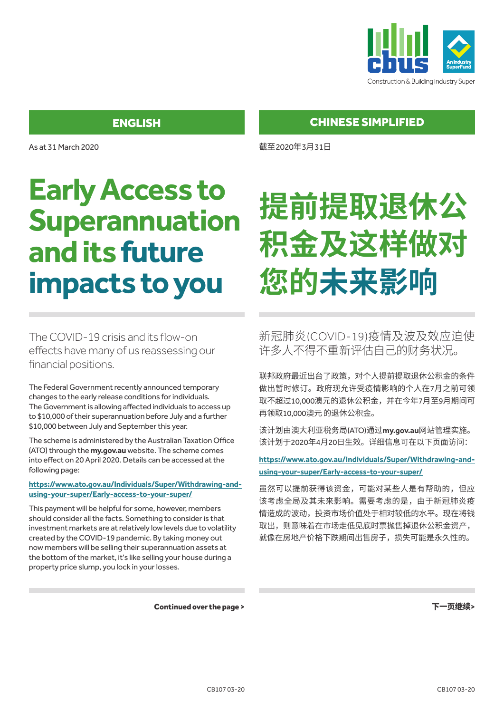

As at 31 March 2020

# **Early Access to Superannuation and its future impacts to you**

The COVID-19 crisis and its flow-on effects have many of us reassessing our financial positions.

The Federal Government recently announced temporary changes to the early release conditions for individuals. The Government is allowing affected individuals to access up to \$10,000 of their superannuation before July and a further \$10,000 between July and September this year.

The scheme is administered by the Australian Taxation Office (ATO) through the **my.gov.au** website. The scheme comes into effect on 20 April 2020. Details can be accessed at the following page:

#### **https://www.ato.gov.au/Individuals/Super/Withdrawing-andusing-your-super/Early-access-to-your-super/**

This payment will be helpful for some, however, members should consider all the facts. Something to consider is that investment markets are at relatively low levels due to volatility created by the COVID-19 pandemic. By taking money out now members will be selling their superannuation assets at the bottom of the market, it's like selling your house during a property price slump, you lock in your losses.

CHINESE SIMPLIFIED

截至2020年3月31日

# **提前提取退休公 积金及这样做对 您的未来影响**

新冠肺炎(COVID-19)疫情及波及效应迫使 许多人不得不重新评估自己的财务状况。

联邦政府最近出台了政策,对个人提前提取退休公积金的条件 做出暂时修订。政府现允许受疫情影响的个人在7月之前可领 取不超过10,000澳元的退休公积金,并在今年7月至9月期间可 再领取10,000澳元的退休公积金。

该计划由澳大利亚税务局(ATO)通过**my.gov.au**网站管理实施。 该计划于2020年4月20日生效。详细信息可在以下页面访问:

**https://www.ato.gov.au/Individuals/Super/Withdrawing-andusing-your-super/Early-access-to-your-super/**

虽然可以提前获得该资金,可能对某些人是有帮助的,但应 该考虑全局及其未来影响。需要考虑的是,由于新冠肺炎疫 情造成的波动,投资市场价值处于相对较低的水平。现在将钱 取出,则意味着在市场走低见底时票抛售掉退休公积金资产, 就像在房地产价格下跌期间出售房子,损失可能是永久性的。

Continued over the page >

下一页继续>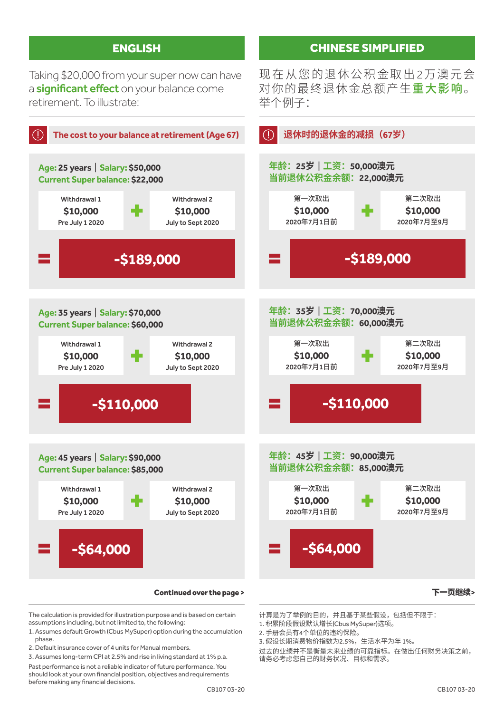Taking \$20,000 from your super now can have a **significant effect** on your balance come retirement. To illustrate:



The calculation is provided for illustration purpose and is based on certain assumptions including, but not limited to, the following:

- 1. Assumes default Growth (Cbus MySuper) option during the accumulation phase.
- 2. Default insurance cover of 4 units for Manual members.

3. Assumes long-term CPI at 2.5% and rise in living standard at 1% p.a. Past performance is not a reliable indicator of future performance. You should look at your own financial position, objectives and requirements before making any financial decisions.

计算是为了举例的目的,并且基于某些假设,包括但不限于:

- 1. 积累阶段假设默认增长(Cbus MySuper)选项。
- 2. 手册会员有4个单位的违约保险。
- 3. 假设长期消费物价指数为2.5%,生活水平为年 1%。

过去的业绩并不是衡量未来业绩的可靠指标。在做出任何财务决策之前, 请务必考虑您自己的财务状况、目标和需求。

#### CHINESE SIMPLIFIED

现在从您的退休公积金取出2万澳元会 对你的最终退休金总额产生重大影响。 举个例子: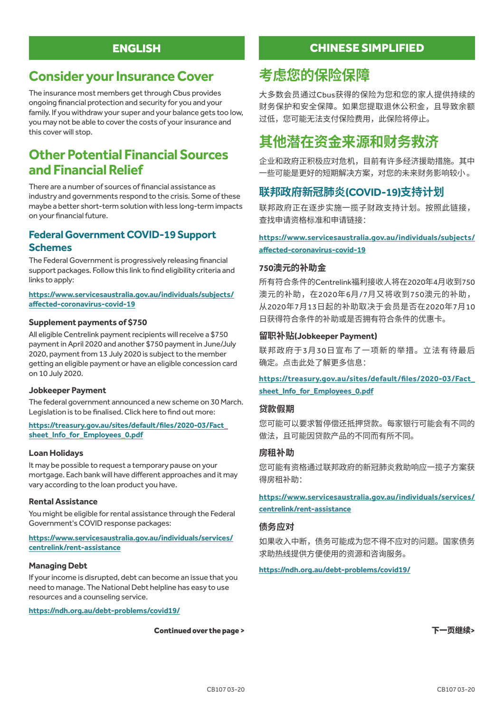## **Consider your Insurance Cover**

The insurance most members get through Cbus provides ongoing financial protection and security for you and your family. If you withdraw your super and your balance gets too low, you may not be able to cover the costs of your insurance and this cover will stop.

## **Other Potential Financial Sources and Financial Relief**

There are a number of sources of financial assistance as industry and governments respond to the crisis. Some of these maybe a better short-term solution with less long-term impacts on your financial future.

#### **Federal Government COVID-19 Support Schemes**

The Federal Government is progressively releasing financial support packages. Follow this link to find eligibility criteria and links to apply:

#### **https://www.servicesaustralia.gov.au/individuals/subjects/ affected-coronavirus-covid-19**

#### **Supplement payments of \$750**

All eligible Centrelink payment recipients will receive a \$750 payment in April 2020 and another \$750 payment in June/July 2020, payment from 13 July 2020 is subject to the member getting an eligible payment or have an eligible concession card on 10 July 2020.

#### **Jobkeeper Payment**

The federal government announced a new scheme on 30 March. Legislation is to be finalised. Click here to find out more:

#### **https://treasury.gov.au/sites/default/files/2020-03/Fact\_ sheet\_Info\_for\_Employees\_0.pdf**

#### **Loan Holidays**

It may be possible to request a temporary pause on your mortgage. Each bank will have different approaches and it may vary according to the loan product you have.

#### **Rental Assistance**

You might be eligible for rental assistance through the Federal Government's COVID response packages:

#### **https://www.servicesaustralia.gov.au/individuals/services/ centrelink/rent-assistance**

#### **Managing Debt**

If your income is disrupted, debt can become an issue that you need to manage. The National Debt helpline has easy to use resources and a counseling service.

**https://ndh.org.au/debt-problems/covid19/**

#### Continued over the page >

### CHINESE SIMPLIFIED

## **考虑您的保险保障**

大多数会员通过Cbus获得的保险为您和您的家人提供持续的 财务保护和安全保障。如果您提取退休公积金,且导致余额 过低,您可能无法支付保险费用,此保险将停止。

# **其他潜在资金来源和财务救济**

企业和政府正积极应对危机,目前有许多经济援助措施。其中 一些可能是更好的短期解决方案,对您的未来财务影响较小。

#### **联邦政府新冠肺炎(COVID-19)支持计划**

联邦政府正在逐步实施一揽子财政支持计划。按照此链接, 查找申请资格标准和申请链接:

#### **https://www.servicesaustralia.gov.au/individuals/subjects/ affected-coronavirus-covid-19**

#### **750澳元的补助金**

所有符合条件的Centrelink福利接收人将在2020年4月收到750 澳元的补助,在2020年6月/7月又将收到750澳元的补助, 从2020年7月13日起的补助取决于会员是否在2020年7月10 日获得符合条件的补助或是否拥有符合条件的优惠卡。

#### **留职补贴(Jobkeeper Payment)**

联邦政府于3月30日宣布了一项新的举措。立法有待最后 确定。点击此处了解更多信息:

#### **https://treasury.gov.au/sites/default/files/2020-03/Fact\_ sheet\_Info\_for\_Employees\_0.pdf**

#### **贷款假期**

您可能可以要求暂停偿还抵押贷款。每家银行可能会有不同的 做法,且可能因贷款产品的不同而有所不同。

#### **房租补助**

您可能有资格通过联邦政府的新冠肺炎救助响应一揽子方案获 得房租补助:

#### **https://www.servicesaustralia.gov.au/individuals/services/ centrelink/rent-assistance**

#### **债务应对**

如果收入中断,债务可能成为您不得不应对的问题。国家债务 求助热线提供方便使用的资源和咨询服务。

#### **https://ndh.org.au/debt-problems/covid19/**

下一页继续>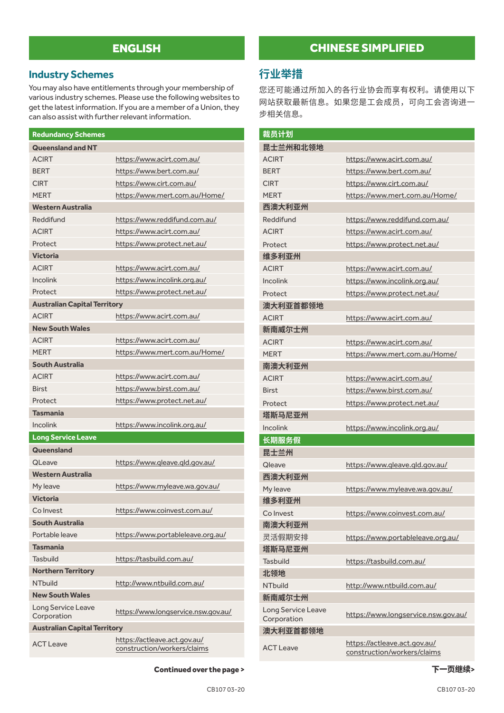### **Industry Schemes**

You may also have entitlements through your membership of various industry schemes. Please use the following websites to get the latest information. If you are a member of a Union, they can also assist with further relevant information.

| <b>Redundancy Schemes</b>           |                                                             |  |
|-------------------------------------|-------------------------------------------------------------|--|
| <b>Queensland and NT</b>            |                                                             |  |
| <b>ACIRT</b>                        | https://www.acirt.com.au/                                   |  |
| <b>BERT</b>                         | https://www.bert.com.au/                                    |  |
| <b>CIRT</b>                         | https://www.cirt.com.au/                                    |  |
| <b>MERT</b>                         | https://www.mert.com.au/Home/                               |  |
| <b>Western Australia</b>            |                                                             |  |
| Reddifund                           | https://www.reddifund.com.au/                               |  |
| <b>ACIRT</b>                        | https://www.acirt.com.au/                                   |  |
| Protect                             | https://www.protect.net.au/                                 |  |
| <b>Victoria</b>                     |                                                             |  |
| <b>ACIRT</b>                        | https://www.acirt.com.au/                                   |  |
| <b>Incolink</b>                     | https://www.incolink.org.au/                                |  |
| Protect                             | https://www.protect.net.au/                                 |  |
| <b>Australian Capital Territory</b> |                                                             |  |
| <b>ACIRT</b>                        | https://www.acirt.com.au/                                   |  |
| <b>New South Wales</b>              |                                                             |  |
| <b>ACIRT</b>                        | https://www.acirt.com.au/                                   |  |
| <b>MERT</b>                         | https://www.mert.com.au/Home/                               |  |
| <b>South Australia</b>              |                                                             |  |
| <b>ACIRT</b>                        | https://www.acirt.com.au/                                   |  |
| <b>Birst</b>                        | https://www.birst.com.au/                                   |  |
| Protect                             | https://www.protect.net.au/                                 |  |
| <b>Tasmania</b>                     |                                                             |  |
| Incolink                            | https://www.incolink.org.au/                                |  |
| Long Service Leave                  |                                                             |  |
| Queensland                          |                                                             |  |
| QLeave                              | https://www.gleave.gld.gov.au/                              |  |
| <b>Western Australia</b>            |                                                             |  |
| My leave                            | https://www.myleave.wa.gov.au/                              |  |
| <b>Victoria</b>                     |                                                             |  |
| Co Invest                           | https://www.coinvest.com.au/                                |  |
| South Australia                     |                                                             |  |
| Portable leave                      | https://www.portableleave.org.au/                           |  |
| <b>Tasmania</b>                     |                                                             |  |
| <b>Tasbuild</b>                     | https://tasbuild.com.au/                                    |  |
| <b>Northern Territory</b>           |                                                             |  |
| NThuild                             | http://www.ntbuild.com.au/                                  |  |
| <b>New South Wales</b>              |                                                             |  |
| Long Service Leave<br>Corporation   | https://www.longservice.nsw.gov.au/                         |  |
| <b>Australian Capital Territory</b> |                                                             |  |
| <b>ACT Leave</b>                    | https://actleave.act.gov.au/<br>construction/workers/claims |  |

## CHINESE SIMPLIFIED

## **行业举措**

您还可能通过所加入的各行业协会而享有权利。请使用以下 网站获取最新信息。如果您是工会成员,可向工会咨询进一 步相关信息。

| 裁员计划                              |                                                             |
|-----------------------------------|-------------------------------------------------------------|
| 昆士兰州和北领地                          |                                                             |
| <b>ACIRT</b>                      | https://www.acirt.com.au/                                   |
| <b>BFRT</b>                       | https://www.bert.com.au/                                    |
| <b>CIRT</b>                       | https://www.cirt.com.au/                                    |
| <b>MERT</b>                       | https://www.mert.com.au/Home/                               |
| 西澳大利亚州                            |                                                             |
| Reddifund                         | https://www.reddifund.com.au/                               |
| <b>ACIRT</b>                      | https://www.acirt.com.au/                                   |
| Protect                           | https://www.protect.net.au/                                 |
| 维多利亚州                             |                                                             |
| <b>ACIRT</b>                      | https://www.acirt.com.au/                                   |
| Incolink                          | https://www.incolink.org.au/                                |
| Protect                           | https://www.protect.net.au/                                 |
| 澳大利亚首都领地                          |                                                             |
| <b>ACIRT</b>                      | https://www.acirt.com.au/                                   |
| 新南威尔十州                            |                                                             |
| <b>ACIRT</b>                      | https://www.acirt.com.au/                                   |
| <b>MFRT</b>                       | https://www.mert.com.au/Home/                               |
| 南澳大利亚州                            |                                                             |
| <b>ACIRT</b>                      | https://www.acirt.com.au/                                   |
| <b>Birst</b>                      | https://www.birst.com.au/                                   |
| Protect                           | https://www.protect.net.au/                                 |
| 塔斯马尼亚州                            |                                                             |
| <b>Incolink</b>                   | https://www.incolink.org.au/                                |
| 长期服务假                             |                                                             |
| 昆士兰州                              |                                                             |
| <b>Qleave</b>                     | https://www.qleave.qld.gov.au/                              |
| 西澳大利亚州                            |                                                             |
| My leave                          | https://www.myleave.wa.gov.au/                              |
| 维多利亚州                             |                                                             |
| Co Invest                         | https://www.coinvest.com.au/                                |
| 南澳大利亚州                            |                                                             |
| 灵活假期安排                            | https://www.portableleave.org.au/                           |
| 塔斯马尼亚州                            |                                                             |
| Tashuild                          | https://tasbuild.com.au/                                    |
| 北领地                               |                                                             |
| <b>NTbuild</b>                    | http://www.ntbuild.com.au/                                  |
| 新南威尔士州                            |                                                             |
| Long Service Leave<br>Corporation | https://www.longservice.nsw.gov.au/                         |
| 澳大利亚首都领地                          |                                                             |
| <b>ACT Leave</b>                  | https://actleave.act.gov.au/<br>construction/workers/claims |

Continued over the page >